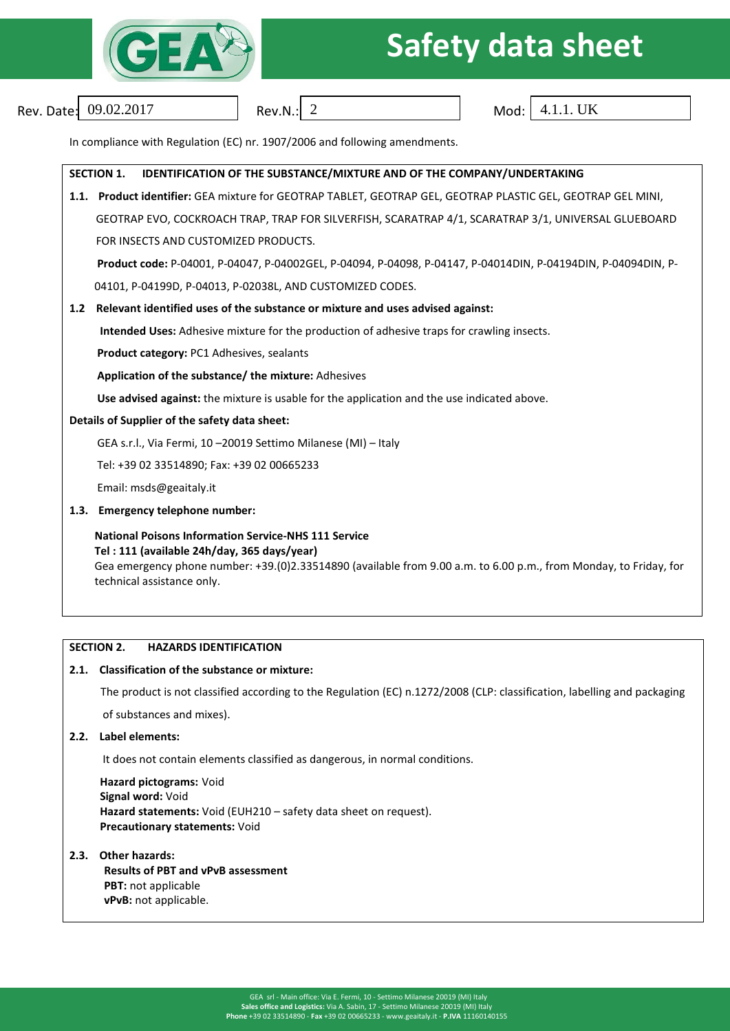

# **Safety data sheet**

Rev. Date:  $09.02.2017$  Rev.N.:  $\sqrt{2}$ 

Mod:  $4.1.1$ . UK

In compliance with Regulation (EC) nr. 1907/2006 and following amendments.

### **SECTION 1. IDENTIFICATION OF THE SUBSTANCE/MIXTURE AND OF THE COMPANY/UNDERTAKING 1.1. Product identifier:** GEA mixture for GEOTRAP TABLET, GEOTRAP GEL, GEOTRAP PLASTIC GEL, GEOTRAP GEL MINI, GEOTRAP EVO, COCKROACH TRAP, TRAP FOR SILVERFISH, SCARATRAP 4/1, SCARATRAP 3/1, UNIVERSAL GLUEBOARD FOR INSECTS AND CUSTOMIZED PRODUCTS.  **Product code:** P-04001, P-04047, P-04002GEL, P-04094, P-04098, P-04147, P-04014DIN, P-04194DIN, P-04094DIN, P- 04101, P-04199D, P-04013, P-02038L, AND CUSTOMIZED CODES. **1.2 Relevant identified uses of the substance or mixture and uses advised against: Intended Uses:** Adhesive mixture for the production of adhesive traps for crawling insects.  **Product category:** PC1 Adhesives, sealants **Application of the substance/ the mixture:** Adhesives  **Use advised against:** the mixture is usable for the application and the use indicated above. **Details of Supplier of the safety data sheet:** GEA s.r.l., Via Fermi, 10 –20019 Settimo Milanese (MI) – Italy Tel: +39 02 33514890; Fax: +39 02 00665233 Email: msds@geaitaly.it **1.3. Emergency telephone number: National Poisons Information Service-NHS 111 Service Tel : 111 (available 24h/day, 365 days/year)** Gea emergency phone number: +39.(0)2.33514890 (available from 9.00 a.m. to 6.00 p.m., from Monday, to Friday, for technical assistance only.

### **SECTION 2. HAZARDS IDENTIFICATION**

### **2.1. Classification of the substance or mixture:**

The product is not classified according to the Regulation (EC) n.1272/2008 (CLP: classification, labelling and packaging of substances and mixes).

**2.2. Label elements:** 

It does not contain elements classified as dangerous, in normal conditions.

 **Hazard pictograms:** Void  **Signal word:** Void **Hazard statements:** Void (EUH210 – safety data sheet on request). **Precautionary statements:** Void

### **2.3. Other hazards:**

**Results of PBT and vPvB assessment PBT:** not applicable **vPvB:** not applicable.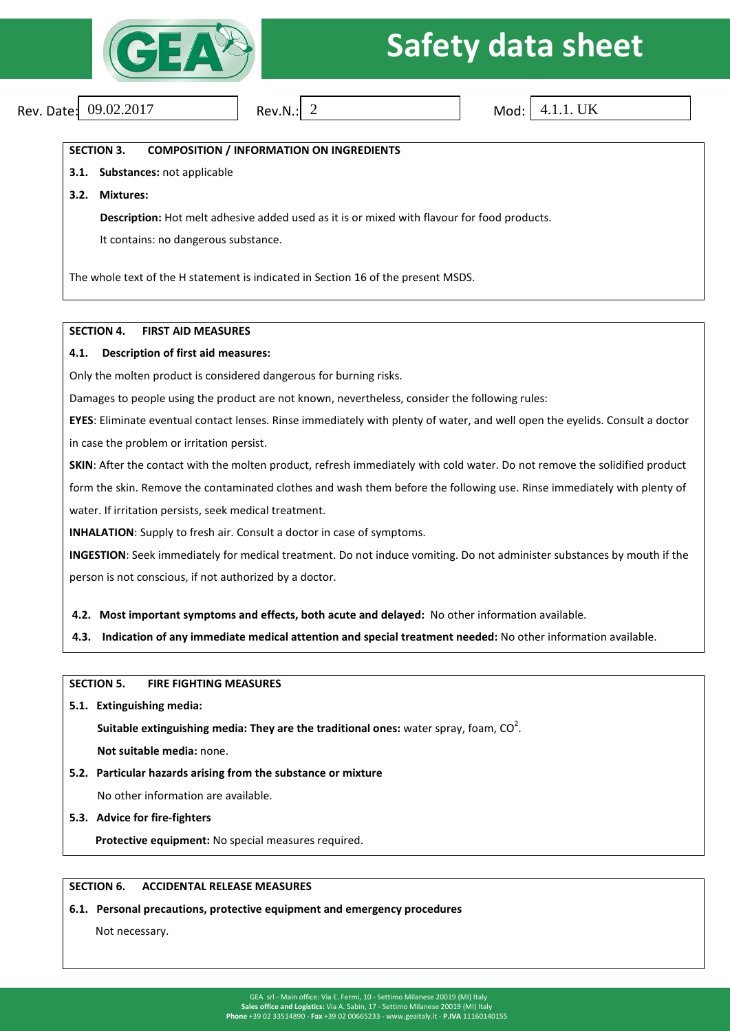

# **ANS Safety data sheet**

Rev. Date:  $09.02.2017$  Rev.N.: 2

Mod:  $4.1.1$ . UK

**SECTION 3. COMPOSITION / INFORMATION ON INGREDIENTS**

**3.1. Substances:** not applicable

**3.2. Mixtures:**

**Description:** Hot melt adhesive added used as it is or mixed with flavour for food products.

It contains: no dangerous substance.

The whole text of the H statement is indicated in Section 16 of the present MSDS.

### **SECTION 4. FIRST AID MEASURES**

### **4.1. Description of first aid measures:**

Only the molten product is considered dangerous for burning risks.

Damages to people using the product are not known, nevertheless, consider the following rules:

**EYES**: Eliminate eventual contact lenses. Rinse immediately with plenty of water, and well open the eyelids. Consult a doctor in case the problem or irritation persist.

**SKIN**: After the contact with the molten product, refresh immediately with cold water. Do not remove the solidified product form the skin. Remove the contaminated clothes and wash them before the following use. Rinse immediately with plenty of water. If irritation persists, seek medical treatment.

**INHALATION**: Supply to fresh air. Consult a doctor in case of symptoms.

**INGESTION**: Seek immediately for medical treatment. Do not induce vomiting. Do not administer substances by mouth if the person is not conscious, if not authorized by a doctor.

**4.2. Most important symptoms and effects, both acute and delayed:** No other information available.

**4.3. Indication of any immediate medical attention and special treatment needed:** No other information available.

**SECTION 5. FIRE FIGHTING MEASURES**

**5.1. Extinguishing media:**

**Suitable extinguishing media: They are the traditional ones:** water spray, foam,  $CO<sup>2</sup>$ .

 **Not suitable media:** none.

**5.2. Particular hazards arising from the substance or mixture** 

No other information are available.

**5.3. Advice for fire-fighters**

**Protective equipment:** No special measures required.

### **SECTION 6. ACCIDENTAL RELEASE MEASURES**

### **6.1. Personal precautions, protective equipment and emergency procedures**

Not necessary.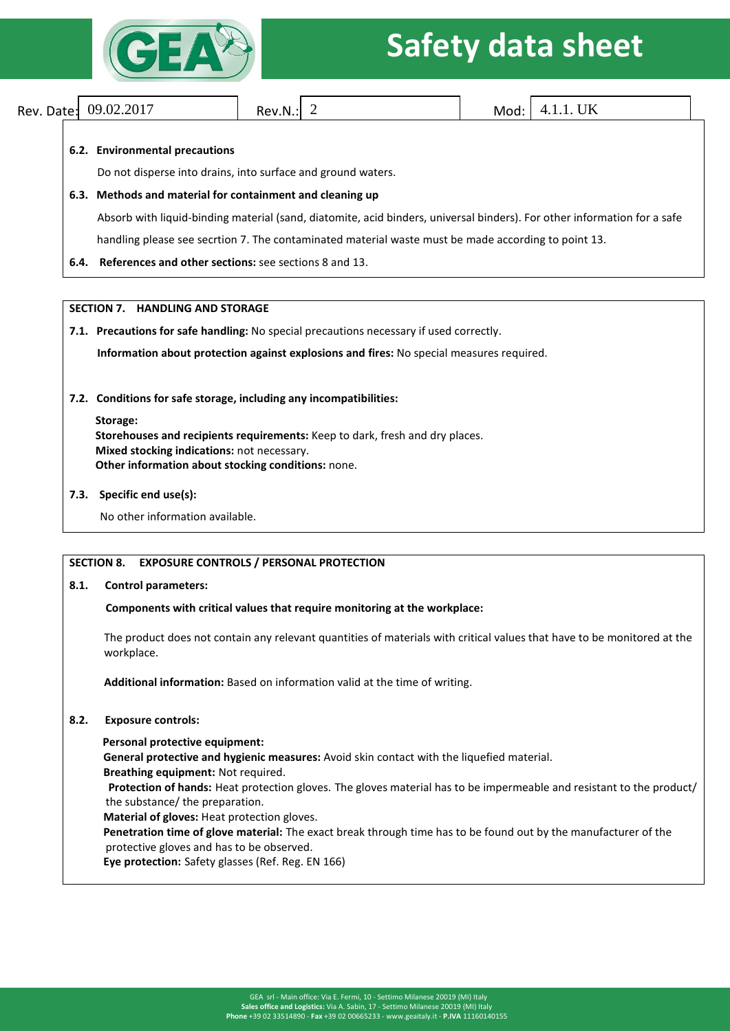

# **Safety data sheet**

Rev. Date: Rev.N.: Mod: 09.02.2017 2 4.1.1. UK

### **6.2. Environmental precautions**

Do not disperse into drains, into surface and ground waters.

### **6.3. Methods and material for containment and cleaning up**

Absorb with liquid-binding material (sand, diatomite, acid binders, universal binders). For other information for a safe

handling please see secrtion 7. The contaminated material waste must be made according to point 13.

**6.4. References and other sections:** see sections 8 and 13.

### **SECTION 7. HANDLING AND STORAGE**

### **7.1. Precautions for safe handling:** No special precautions necessary if used correctly.

 **Information about protection against explosions and fires:** No special measures required.

**7.2. Conditions for safe storage, including any incompatibilities:**

### **Storage:**

**Storehouses and recipients requirements:** Keep to dark, fresh and dry places. **Mixed stocking indications:** not necessary. **Other information about stocking conditions:** none.

### **7.3. Specific end use(s):**

No other information available.

### **SECTION 8. EXPOSURE CONTROLS / PERSONAL PROTECTION**

### **8.1. Control parameters:**

### **Components with critical values that require monitoring at the workplace:**

The product does not contain any relevant quantities of materials with critical values that have to be monitored at the workplace.

**Additional information:** Based on information valid at the time of writing.

### **8.2. Exposure controls:**

 **Personal protective equipment:**

**General protective and hygienic measures:** Avoid skin contact with the liquefied material.

**Breathing equipment:** Not required.

 **Protection of hands:** Heat protection gloves. The gloves material has to be impermeable and resistant to the product/ the substance/ the preparation.

**Material of gloves:** Heat protection gloves.

 **Penetration time of glove material:** The exact break through time has to be found out by the manufacturer of the protective gloves and has to be observed.

**Eye protection:** Safety glasses (Ref. Reg. EN 166)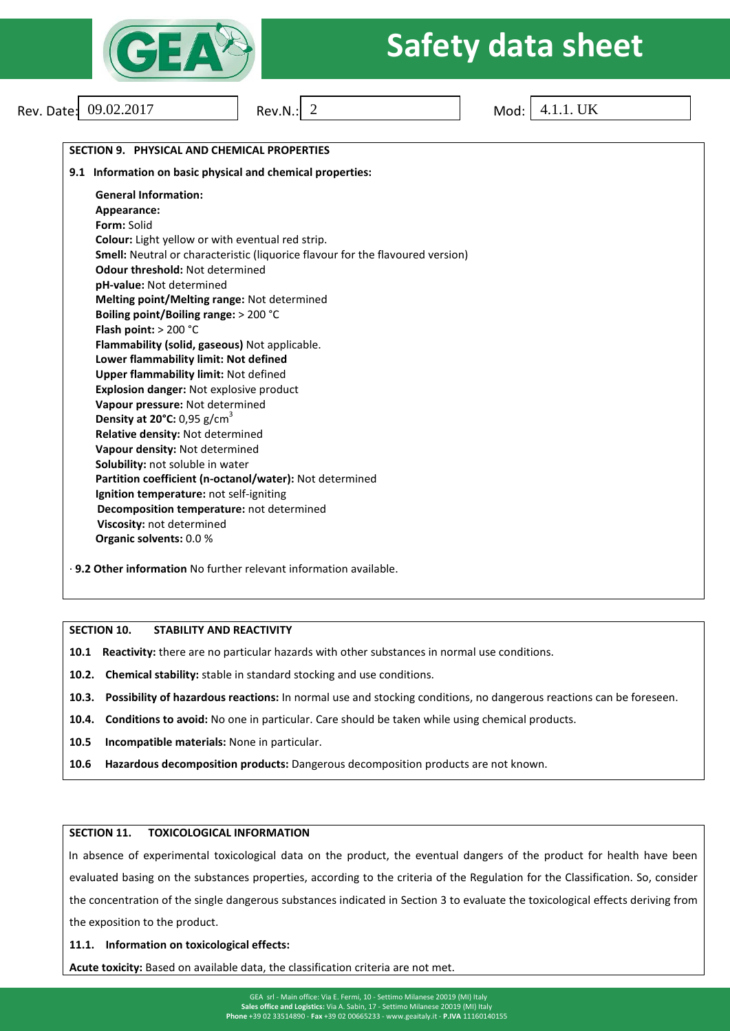

# **REARE Safety data sheet**

| Rev. Date: 09.02.2017                              | Rev.N.: $2$                                                                    | 4.1.1. UK<br>Mod: |
|----------------------------------------------------|--------------------------------------------------------------------------------|-------------------|
|                                                    |                                                                                |                   |
| SECTION 9. PHYSICAL AND CHEMICAL PROPERTIES        |                                                                                |                   |
|                                                    | 9.1 Information on basic physical and chemical properties:                     |                   |
| <b>General Information:</b>                        |                                                                                |                   |
| Appearance:                                        |                                                                                |                   |
| Form: Solid                                        |                                                                                |                   |
|                                                    | Colour: Light yellow or with eventual red strip.                               |                   |
|                                                    | Smell: Neutral or characteristic (liquorice flavour for the flavoured version) |                   |
| <b>Odour threshold: Not determined</b>             |                                                                                |                   |
| pH-value: Not determined                           |                                                                                |                   |
|                                                    | Melting point/Melting range: Not determined                                    |                   |
| Boiling point/Boiling range: > 200 °C              |                                                                                |                   |
| Flash point: $> 200 °C$                            |                                                                                |                   |
| Flammability (solid, gaseous) Not applicable.      |                                                                                |                   |
| Lower flammability limit: Not defined              |                                                                                |                   |
| <b>Upper flammability limit: Not defined</b>       |                                                                                |                   |
| <b>Explosion danger: Not explosive product</b>     |                                                                                |                   |
| Vapour pressure: Not determined                    |                                                                                |                   |
| Density at 20 $^{\circ}$ C: 0,95 g/cm <sup>3</sup> |                                                                                |                   |
| Relative density: Not determined                   |                                                                                |                   |
| Vapour density: Not determined                     |                                                                                |                   |
| Solubility: not soluble in water                   |                                                                                |                   |
|                                                    | Partition coefficient (n-octanol/water): Not determined                        |                   |
| Ignition temperature: not self-igniting            |                                                                                |                   |
|                                                    | Decomposition temperature: not determined                                      |                   |
| Viscosity: not determined                          |                                                                                |                   |
| Organic solvents: 0.0 %                            |                                                                                |                   |

### **SECTION 10. STABILITY AND REACTIVITY**

- **10.1 Reactivity:** there are no particular hazards with other substances in normal use conditions.
- **10.2. Chemical stability:** stable in standard stocking and use conditions.
- **10.3. Possibility of hazardous reactions:** In normal use and stocking conditions, no dangerous reactions can be foreseen.
- **10.4. Conditions to avoid:** No one in particular. Care should be taken while using chemical products.
- **10.5 Incompatible materials:** None in particular.
- **10.6 Hazardous decomposition products:** Dangerous decomposition products are not known.

### **SECTION 11. TOXICOLOGICAL INFORMATION**

In absence of experimental toxicological data on the product, the eventual dangers of the product for health have been evaluated basing on the substances properties, according to the criteria of the Regulation for the Classification. So, consider the concentration of the single dangerous substances indicated in Section 3 to evaluate the toxicological effects deriving from the exposition to the product.

#### **11.1. Information on toxicological effects:**

**Acute toxicity:** Based on available data, the classification criteria are not met.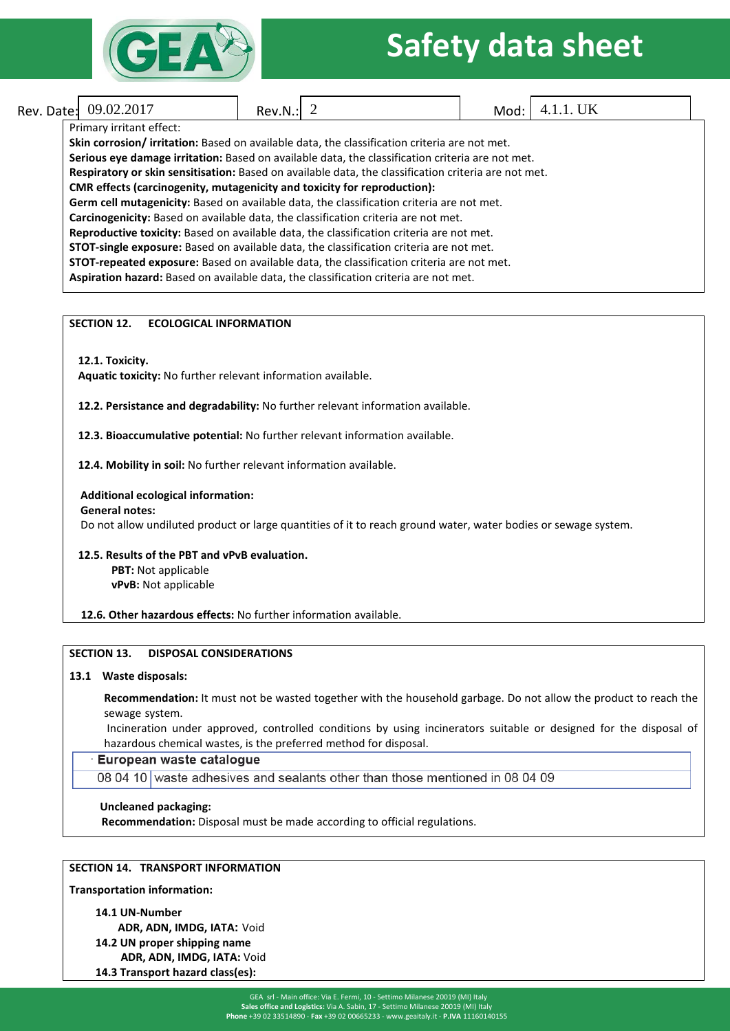

### **Safety data sheet**

### Rev. Date: Rev.N.: Mod: 09.02.2017 2 4.1.1. UK

### Primary irritant effect:

**Skin corrosion/ irritation:** Based on available data, the classification criteria are not met. **Serious eye damage irritation:** Based on available data, the classification criteria are not met. **Respiratory or skin sensitisation:** Based on available data, the classification criteria are not met. **CMR effects (carcinogenity, mutagenicity and toxicity for reproduction): Germ cell mutagenicity:** Based on available data, the classification criteria are not met. **Carcinogenicity:** Based on available data, the classification criteria are not met. **Reproductive toxicity:** Based on available data, the classification criteria are not met. **STOT-single exposure:** Based on available data, the classification criteria are not met. **STOT-repeated exposure:** Based on available data, the classification criteria are not met. **Aspiration hazard:** Based on available data, the classification criteria are not met.

### **SECTION 12. ECOLOGICAL INFORMATION**

**12.1. Toxicity.**

**Aquatic toxicity:** No further relevant information available.

**12.2. Persistance and degradability:** No further relevant information available.

**12.3. Bioaccumulative potential:** No further relevant information available.

**12.4. Mobility in soil:** No further relevant information available.

### **Additional ecological information:**

**General notes:**

Do not allow undiluted product or large quantities of it to reach ground water, water bodies or sewage system.

### **12.5. Results of the PBT and vPvB evaluation. PBT:** Not applicable

 **vPvB:** Not applicable

**12.6. Other hazardous effects:** No further information available.

### **SECTION 13. DISPOSAL CONSIDERATIONS**

### **13.1 Waste disposals:**

**Recommendation:** It must not be wasted together with the household garbage. Do not allow the product to reach the sewage system.

Incineration under approved, controlled conditions by using incinerators suitable or designed for the disposal of hazardous chemical wastes, is the preferred method for disposal.

### European waste catalogue

08 04 10 waste adhesives and sealants other than those mentioned in 08 04 09

### **Uncleaned packaging:**

 **Recommendation:** Disposal must be made according to official regulations.

### **SECTION 14. TRANSPORT INFORMATION**

**Transportation information:** 

**14.1 UN-Number ADR, ADN, IMDG, IATA:** Void

**14.2 UN proper shipping name**

 **ADR, ADN, IMDG, IATA:** Void

**14.3 Transport hazard class(es):**